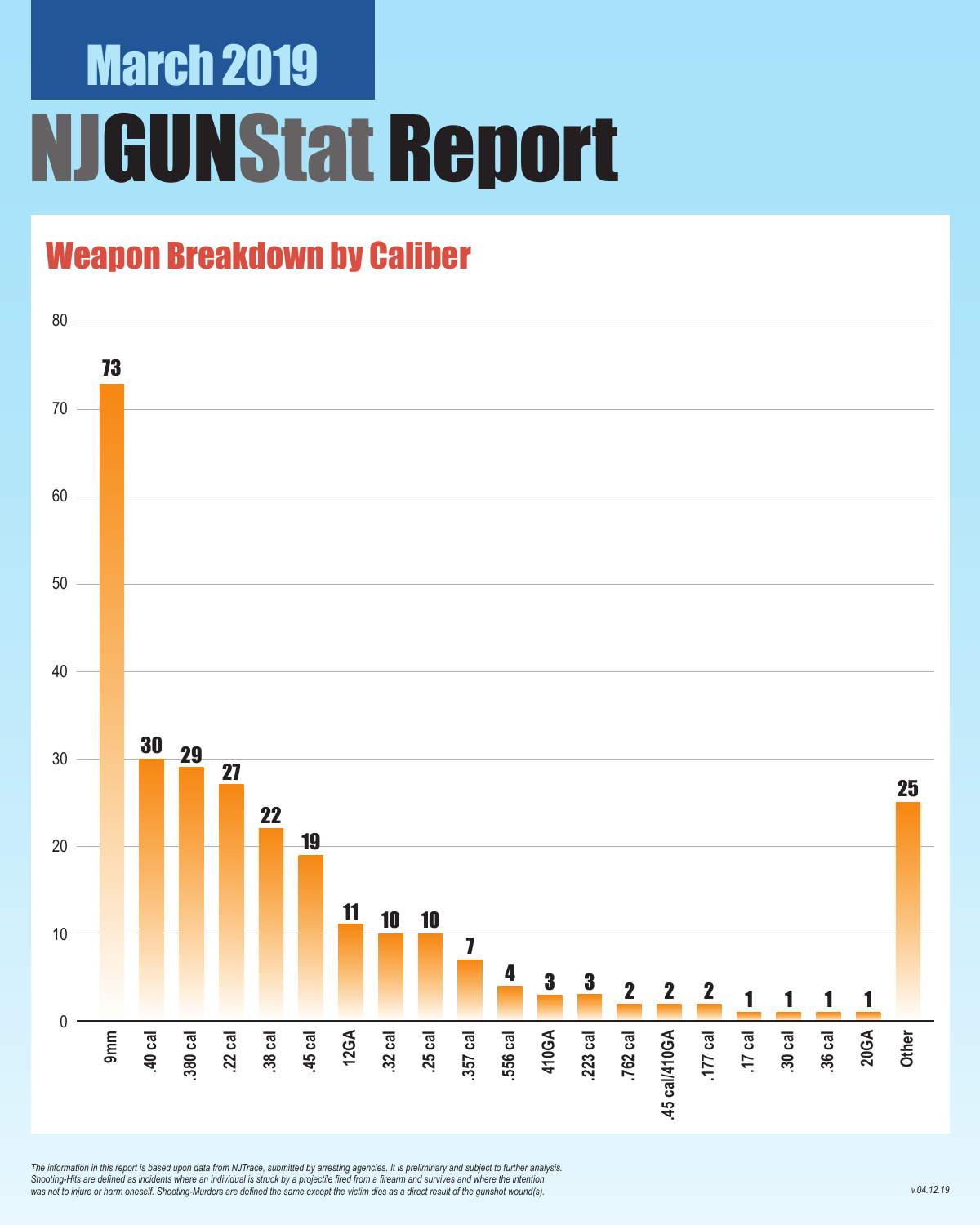### March 2019 NJGUNStat Report

### Weapon Breakdown by Caliber



*The information in this report is based upon data from NJTrace, submitted by arresting agencies. It is preliminary and subject to further analysis. Shooting-Hits are defined as incidents where an individual is struck by a projectile fired from a firearm and survives and where the intention was not to injure or harm oneself. Shooting-Murders are defined the same except the victim dies as a direct result of the gunshot wound(s).*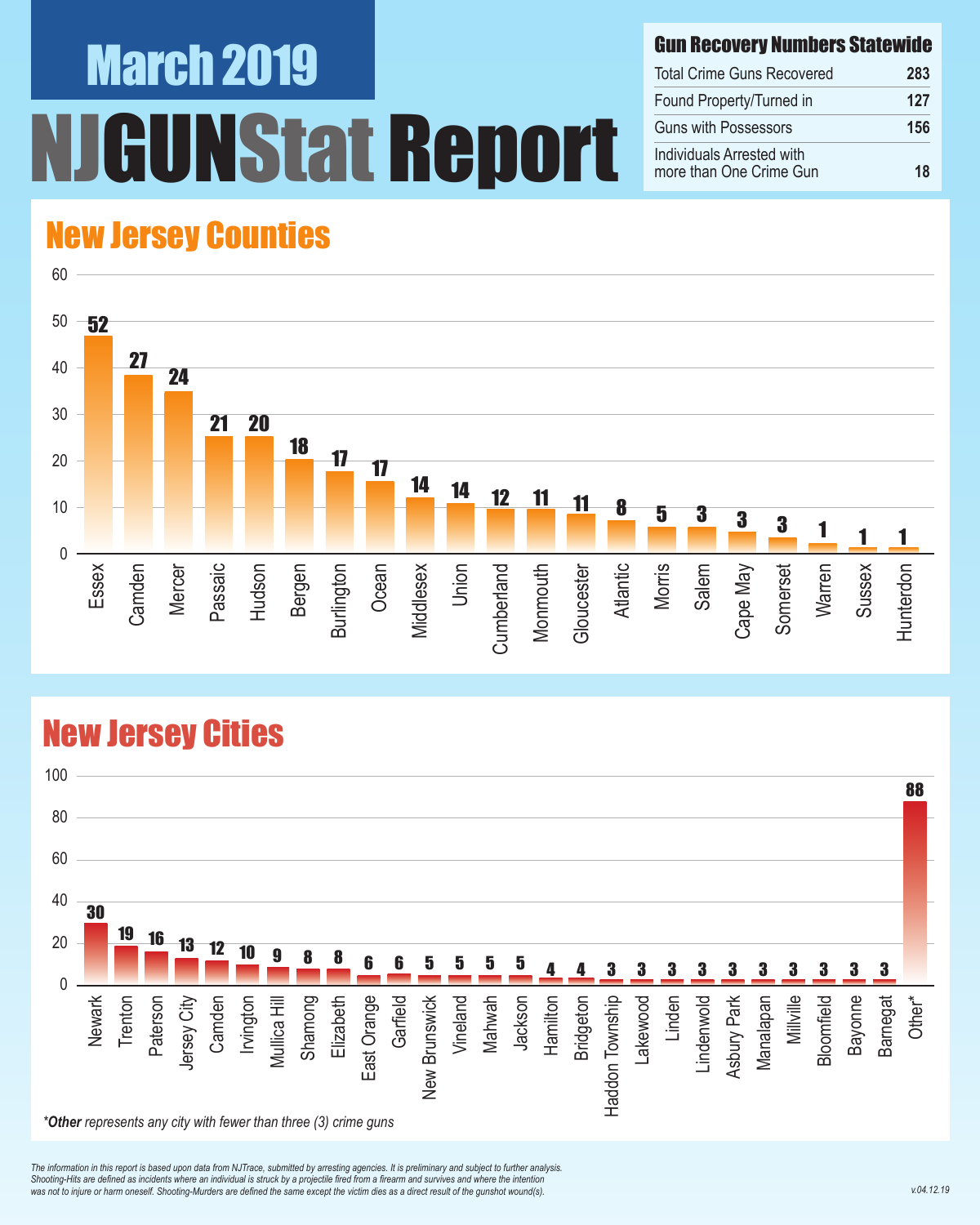# March 2019 NStat Report

#### Gun Recovery Numbers Statewide

| <b>Total Crime Guns Recovered</b>                    | 283 |
|------------------------------------------------------|-----|
| Found Property/Turned in                             | 127 |
| <b>Guns with Possessors</b>                          | 156 |
| Individuals Arrested with<br>more than One Crime Gun | 18  |

#### New Jersey Counties



#### New Jersey Cities



*The information in this report is based upon data from NJTrace, submitted by arresting agencies. It is preliminary and subject to further analysis. Shooting-Hits are defined as incidents where an individual is struck by a projectile fired from a firearm and survives and where the intention*  was not to injure or harm oneself. Shooting-Murders are defined the same except the victim dies as a direct result of the gunshot wound(s).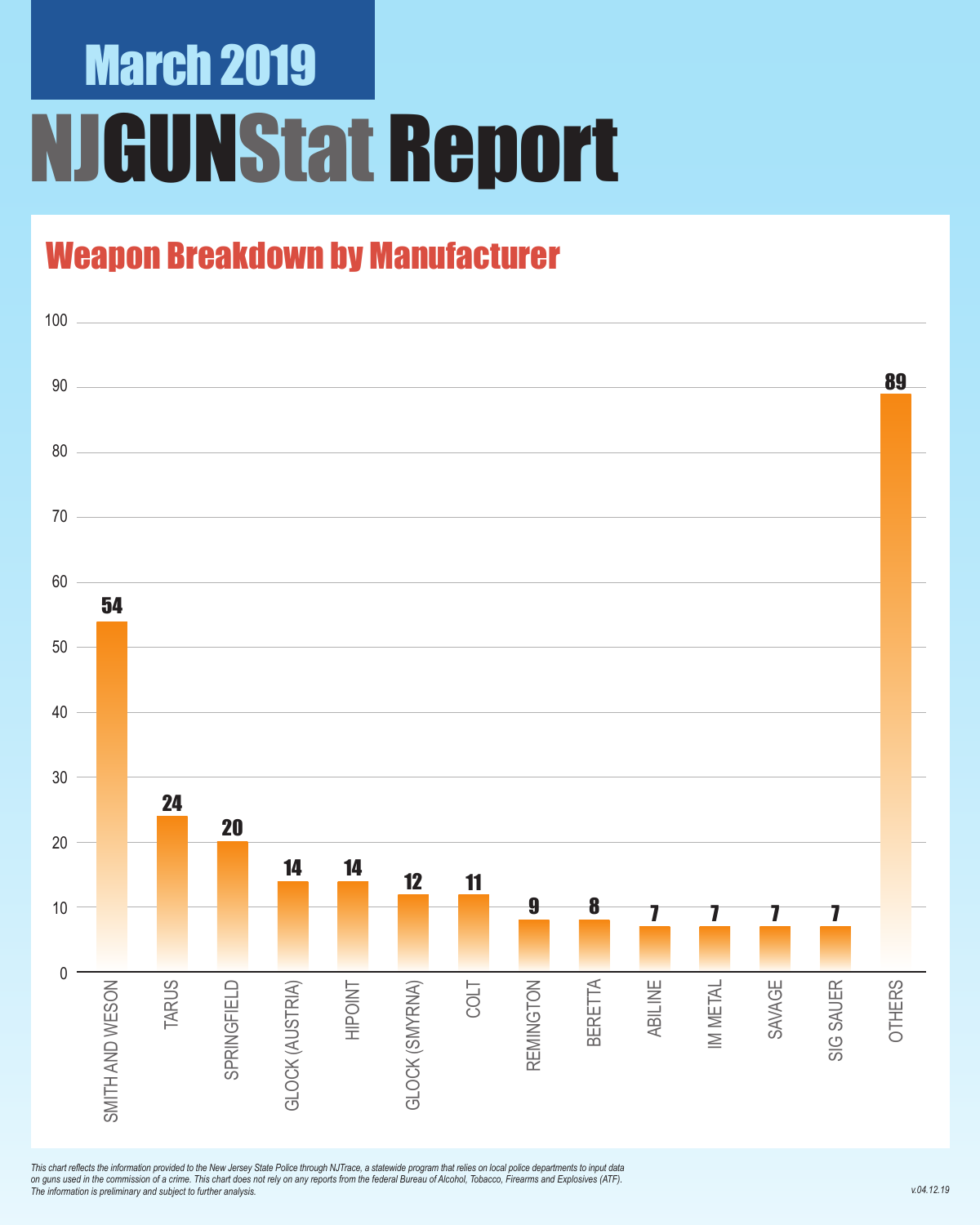# March 2019 NJGUNStat Report

### Weapon Breakdown by Manufacturer



*This chart reflects the information provided to the New Jersey State Police through NJTrace, a statewide program that relies on local police departments to input data on guns used in the commission of a crime. This chart does not rely on any reports from the federal Bureau of Alcohol, Tobacco, Firearms and Explosives (ATF). The information is preliminary and subject to further analysis.*